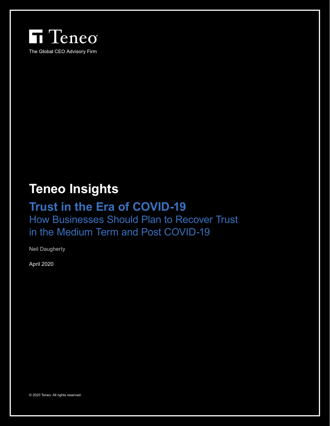

# **Teneo Insights**

## **Trust in the Era of COVID-19**

How Businesses Should Plan to Recover Trust in the Medium Term and Post COVID-19

Neil Daugherty

April 2020

© 2020 Teneo. All rights reserved.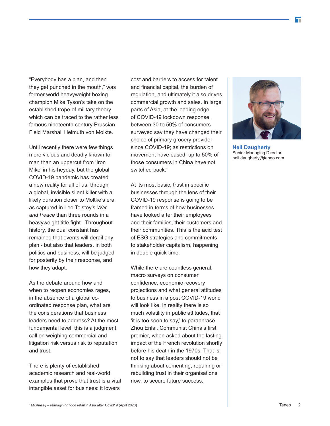"Everybody has a plan, and then they get punched in the mouth," was former world heavyweight boxing champion Mike Tyson's take on the established trope of military theory which can be traced to the rather less famous nineteenth century Prussian Field Marshall Helmuth von Molkte.

Until recently there were few things more vicious and deadly known to man than an uppercut from 'Iron Mike' in his heyday, but the global COVID-19 pandemic has created a new reality for all of us, through a global, invisible silent killer with a likely duration closer to Moltke's era as captured in Leo Tolstoy's *War and Peace* than three rounds in a heavyweight title fight. Throughout history, the dual constant has remained that events will derail any plan - but also that leaders, in both politics and business, will be judged for posterity by their response, and how they adapt.

As the debate around how and when to reopen economies rages, in the absence of a global coordinated response plan, what are the considerations that business leaders need to address? At the most fundamental level, this is a judgment call on weighing commercial and litigation risk versus risk to reputation and trust.

There is plenty of established academic research and real-world examples that prove that trust is a vital intangible asset for business: it lowers

cost and barriers to access for talent and financial capital, the burden of regulation, and ultimately it also drives commercial growth and sales. In large parts of Asia, at the leading edge of COVID-19 lockdown response, between 30 to 50% of consumers surveyed say they have changed their choice of primary grocery provider since COVID-19; as restrictions on movement have eased, up to 50% of those consumers in China have not switched back.<sup>1</sup>

At its most basic, trust in specific businesses through the lens of their COVID-19 response is going to be framed in terms of how businesses have looked after their employees and their families, their customers and their communities. This is the acid test of ESG strategies and commitments to stakeholder capitalism, happening in double quick time.

While there are countless general, macro surveys on consumer confidence, economic recovery projections and what general attitudes to business in a post COVID-19 world will look like, in reality there is so much volatility in public attitudes, that 'it is too soon to say,' to paraphrase Zhou Enlai, Communist China's first premier, when asked about the lasting impact of the French revolution shortly before his death in the 1970s. That is not to say that leaders should not be thinking about cementing, repairing or rebuilding trust in their organisations now, to secure future success.



**Neil Daugherty** Senior Managing Director neil.daugherty@teneo.com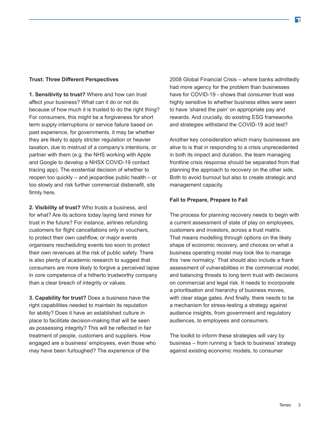### **Trust: Three Different Perspectives**

**1. Sensitivity to trust?** Where and how can trust affect your business? What can it do or not do because of how much it is trusted to do the right thing? For consumers, this might be a forgiveness for short term supply interruptions or service failure based on past experience, for governments, it may be whether they are likely to apply stricter regulation or heavier taxation, due to mistrust of a company's intentions, or partner with them (e.g. the NHS working with Apple and Google to develop a NHSX COVID-19 contact tracing app). The existential decision of whether to reopen too quickly – and jeopardise public health – or too slowly and risk further commercial disbenefit, sits firmly here.

**2. Visibility of trust?** Who trusts a business, and for what? Are its actions today laying land mines for trust in the future? For instance, airlines refunding customers for flight cancellations only in vouchers, to protect their own cashflow, or major events organisers rescheduling events too soon to protect their own revenues at the risk of public safety. There is also plenty of academic research to suggest that consumers are more likely to forgive a perceived lapse in core competence of a hitherto trustworthy company than a clear breach of integrity or values.

**3. Capability for trust?** Does a business have the right capabilities needed to maintain its reputation for ability? Does it have an established culture in place to facilitate decision-making that will be seen as possessing integrity? This will be reflected in fair treatment of people, customers and suppliers. How engaged are a business' employees, even those who may have been furloughed? The experience of the

2008 Global Financial Crisis – where banks admittedly had more agency for the problem than businesses have for COVID-19 - shows that consumer trust was highly sensitive to whether business elites were seen to have 'shared the pain' on appropriate pay and rewards. And crucially, do existing ESG frameworks and strategies withstand the COVID-19 acid test?

Another key consideration which many businesses are alive to is that in responding to a crisis unprecedented in both its impact and duration, the team managing frontline crisis response should be separated from that planning the approach to recovery on the other side. Both to avoid burnout but also to create strategic and management capacity.

## **Fail to Prepare, Prepare to Fail**

The process for planning recovery needs to begin with a current assessment of state of play on employees, customers and investors, across a trust matrix. That means modelling through options on the likely shape of economic recovery, and choices on what a business operating model may look like to manage this 'new normalcy.' That should also include a frank assessment of vulnerabilities in the commercial model, and balancing threats to long term trust with decisions on commercial and legal risk. It needs to incorporate a prioritisation and hierarchy of business moves, with clear stage gates. And finally, there needs to be a mechanism for stress-testing a strategy against audience insights, from government and regulatory audiences, to employees and consumers.

The toolkit to inform these strategies will vary by business – from running a 'back to business' strategy against existing economic models, to consumer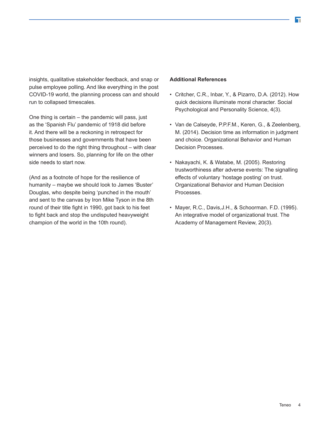insights, qualitative stakeholder feedback, and snap or pulse employee polling. And like everything in the post COVID-19 world, the planning process can and should run to collapsed timescales.

One thing is certain – the pandemic will pass, just as the 'Spanish Flu' pandemic of 1918 did before it. And there will be a reckoning in retrospect for those businesses and governments that have been perceived to do the right thing throughout – with clear winners and losers. So, planning for life on the other side needs to start now.

(And as a footnote of hope for the resilience of humanity – maybe we should look to James 'Buster' Douglas, who despite being 'punched in the mouth' and sent to the canvas by Iron Mike Tyson in the 8th round of their title fight in 1990, got back to his feet to fight back and stop the undisputed heavyweight champion of the world in the 10th round).

#### **Additional References**

- Critcher, C.R., Inbar, Y., & Pizarro, D.A. (2012). How quick decisions illuminate moral character. Social Psychological and Personality Science, 4(3).
- Van de Calseyde, P.P.F.M., Keren, G., & Zeelenberg, M. (2014). Decision time as information in judgment and choice. Organizational Behavior and Human Decision Processes.
- Nakayachi, K. & Watabe, M. (2005). Restoring trustworthiness after adverse events: The signalling effects of voluntary 'hostage posting' on trust. Organizational Behavior and Human Decision Processes.
- Mayer, R.C., Davis,J.H., & Schoorman. F.D. (1995). An integrative model of organizational trust. The Academy of Management Review, 20(3).